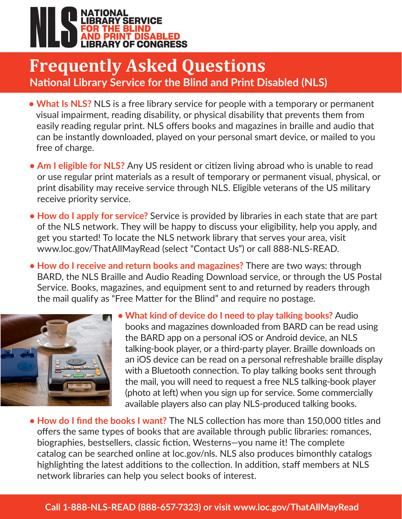

## **Frequently Asked Questions National Library Service for the Blind and Print Disabled (NLS)**

- **What Is NLS?** NLS is a free library service for people with a temporary or permanent visual impairment, reading disability, or physical disability that prevents them from easily reading regular print. NLS offers books and magazines in braille and audio that can be instantly downloaded, played on your personal smart device, or mailed to you free of charge.
- **Am I eligible for NLS?** Any US resident or citizen living abroad who is unable to read or use regular print materials as a result of temporary or permanent visual, physical, or print disability may receive service through NLS. Eligible veterans of the US military receive priority service.
- **How do I apply for service?** Service is provided by libraries in each state that are part of the NLS network. They will be happy to discuss your eligibility, help you apply, and get you started! To locate the NLS network library that serves your area, visit www.loc.gov/ThatAllMayRead (select "Contact Us") or call 888-NLS-READ.
- **How do I receive and return books and magazines?** There are two ways: through BARD, the NLS Braille and Audio Reading Download service, or through the US Postal Service. Books, magazines, and equipment sent to and returned by readers through the mail qualify as "Free Matter for the Blind" and require no postage.



Call 1-888-NLS-READ (1-888-657-7323)

- **What kind of device do I need to play talking books?** Audio books and magazines downloaded from BARD can be read using the BARD app on a personal iOS or Android device, an NLS talking-book player, or a third-party player. Braille downloads on an iOS device can be read on a personal refreshable braille display with a Bluetooth connection. To play talking books sent through the mail, you will need to request a free NLS talking-book player (photo at left) when you sign up for service. Some commercially available players also can play NLS-produced talking books.
- network libraries can help you select books of interest. **• How do I find the books I want?** The NLS collection has more than 150,000 titles and offers the same types of books that are available through public libraries: romances, biographies, bestsellers, classic fiction, Westerns—you name it! The complete catalog can be searched online at loc.gov/nls. NLS also produces bimonthly catalogs highlighting the latest additions to the collection. In addition, staff members at NLS